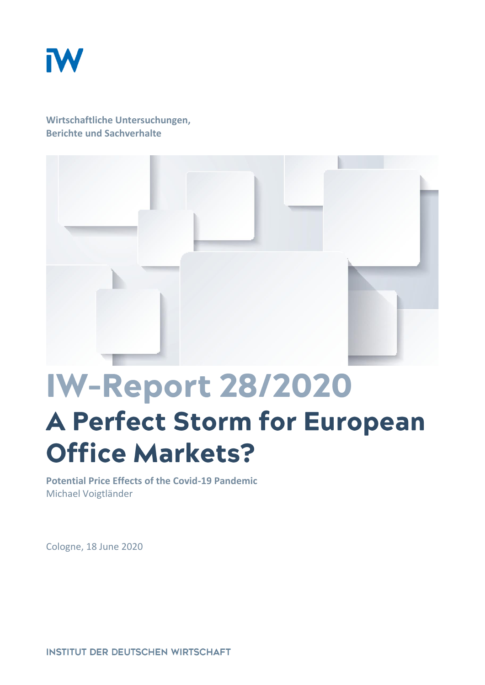

**Wirtschaftliche Untersuchungen, Berichte und Sachverhalte**



## **IW-Report 28/2020 A Perfect Storm for European Office Markets?**

**Potential Price Effects of the Covid-19 Pandemic** Michael Voigtländer

Cologne, 18 June 2020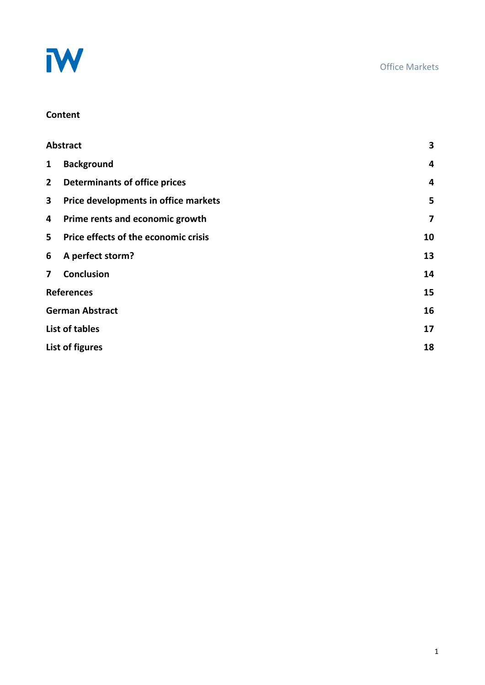

#### **Content**

| <b>Abstract</b>                      | 3                       |
|--------------------------------------|-------------------------|
| <b>Background</b>                    | 4                       |
| <b>Determinants of office prices</b> | $\overline{\mathbf{4}}$ |
| Price developments in office markets | 5                       |
| Prime rents and economic growth      | $\overline{\mathbf{z}}$ |
| Price effects of the economic crisis | 10                      |
| A perfect storm?                     | 13                      |
| <b>Conclusion</b>                    | 14                      |
| <b>References</b>                    | 15                      |
| <b>German Abstract</b>               | 16                      |
| <b>List of tables</b>                | 17                      |
| List of figures                      | 18                      |
|                                      |                         |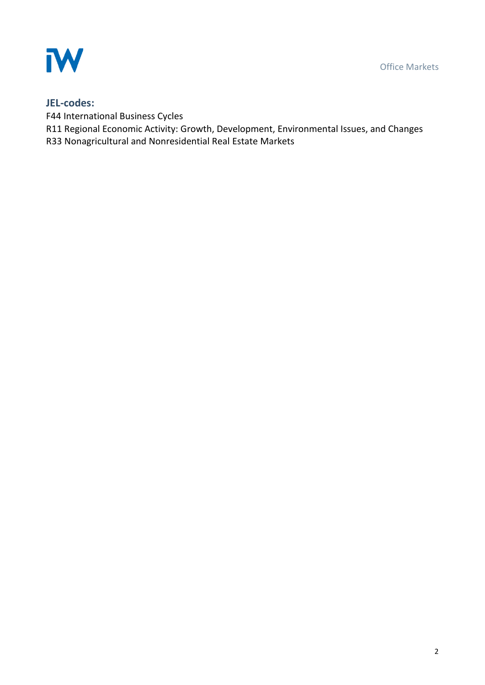Office Markets



#### **JEL-codes:**

F44 International Business Cycles

R11 Regional Economic Activity: Growth, Development, Environmental Issues, and Changes

R33 Nonagricultural and Nonresidential Real Estate Markets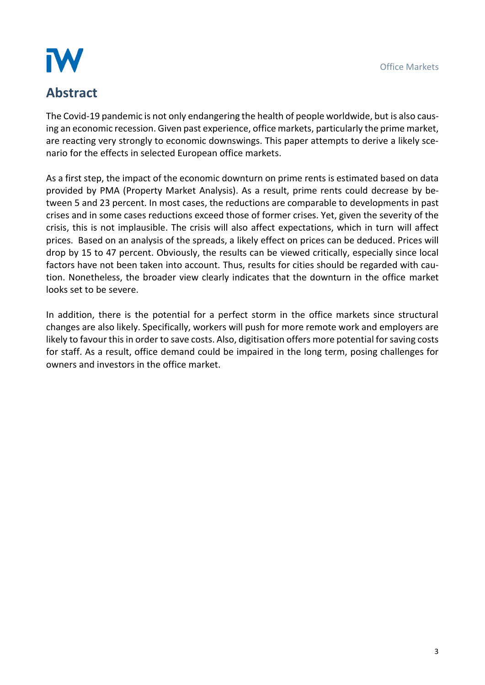# IW

## **Abstract**

The Covid-19 pandemic is not only endangering the health of people worldwide, but is also causing an economic recession. Given past experience, office markets, particularly the prime market, are reacting very strongly to economic downswings. This paper attempts to derive a likely scenario for the effects in selected European office markets.

As a first step, the impact of the economic downturn on prime rents is estimated based on data provided by PMA (Property Market Analysis). As a result, prime rents could decrease by between 5 and 23 percent. In most cases, the reductions are comparable to developments in past crises and in some cases reductions exceed those of former crises. Yet, given the severity of the crisis, this is not implausible. The crisis will also affect expectations, which in turn will affect prices. Based on an analysis of the spreads, a likely effect on prices can be deduced. Prices will drop by 15 to 47 percent. Obviously, the results can be viewed critically, especially since local factors have not been taken into account. Thus, results for cities should be regarded with caution. Nonetheless, the broader view clearly indicates that the downturn in the office market looks set to be severe.

In addition, there is the potential for a perfect storm in the office markets since structural changes are also likely. Specifically, workers will push for more remote work and employers are likely to favour this in order to save costs. Also, digitisation offers more potential for saving costs for staff. As a result, office demand could be impaired in the long term, posing challenges for owners and investors in the office market.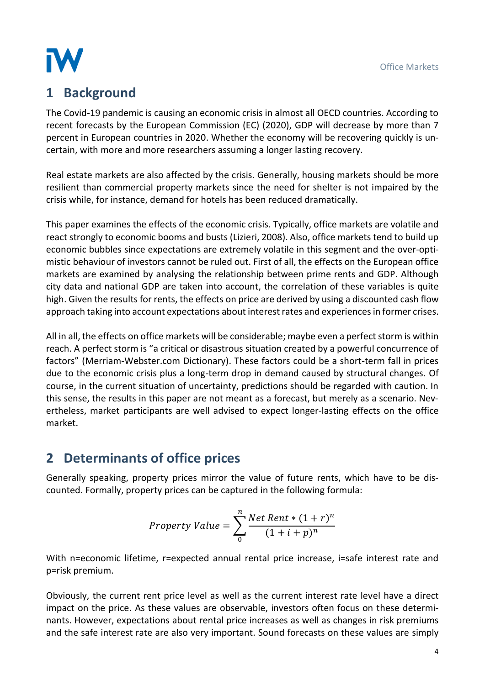

## **1 Background**

The Covid-19 pandemic is causing an economic crisis in almost all OECD countries. According to recent forecasts by the European Commission (EC) (2020), GDP will decrease by more than 7 percent in European countries in 2020. Whether the economy will be recovering quickly is uncertain, with more and more researchers assuming a longer lasting recovery.

Real estate markets are also affected by the crisis. Generally, housing markets should be more resilient than commercial property markets since the need for shelter is not impaired by the crisis while, for instance, demand for hotels has been reduced dramatically.

This paper examines the effects of the economic crisis. Typically, office markets are volatile and react strongly to economic booms and busts (Lizieri, 2008). Also, office markets tend to build up economic bubbles since expectations are extremely volatile in this segment and the over-optimistic behaviour of investors cannot be ruled out. First of all, the effects on the European office markets are examined by analysing the relationship between prime rents and GDP. Although city data and national GDP are taken into account, the correlation of these variables is quite high. Given the results for rents, the effects on price are derived by using a discounted cash flow approach taking into account expectations about interest rates and experiences in former crises.

All in all, the effects on office markets will be considerable; maybe even a perfect storm is within reach. A perfect storm is "a critical or disastrous situation created by a powerful concurrence of factors" (Merriam-Webster.com Dictionary). These factors could be a short-term fall in prices due to the economic crisis plus a long-term drop in demand caused by structural changes. Of course, in the current situation of uncertainty, predictions should be regarded with caution. In this sense, the results in this paper are not meant as a forecast, but merely as a scenario. Nevertheless, market participants are well advised to expect longer-lasting effects on the office market.

## **2 Determinants of office prices**

Generally speaking, property prices mirror the value of future rents, which have to be discounted. Formally, property prices can be captured in the following formula:

Property Value = 
$$
\sum_{0}^{n} \frac{Net Rent * (1+r)^{n}}{(1+i+p)^{n}}
$$

With n=economic lifetime, r=expected annual rental price increase, i=safe interest rate and p=risk premium.

Obviously, the current rent price level as well as the current interest rate level have a direct impact on the price. As these values are observable, investors often focus on these determinants. However, expectations about rental price increases as well as changes in risk premiums and the safe interest rate are also very important. Sound forecasts on these values are simply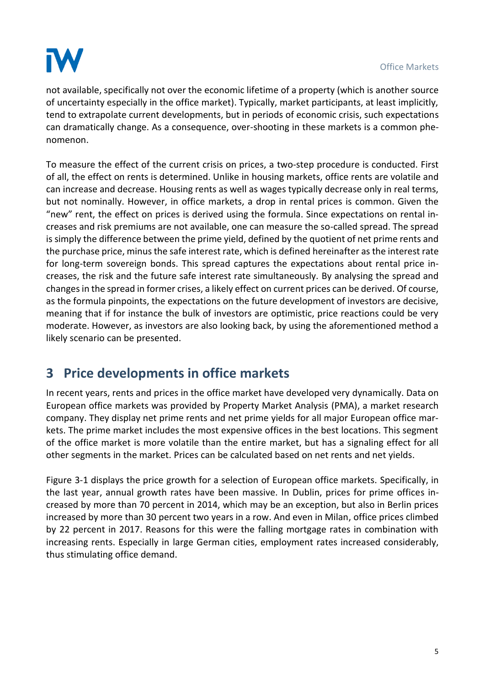

not available, specifically not over the economic lifetime of a property (which is another source of uncertainty especially in the office market). Typically, market participants, at least implicitly, tend to extrapolate current developments, but in periods of economic crisis, such expectations can dramatically change. As a consequence, over-shooting in these markets is a common phenomenon.

To measure the effect of the current crisis on prices, a two-step procedure is conducted. First of all, the effect on rents is determined. Unlike in housing markets, office rents are volatile and can increase and decrease. Housing rents as well as wages typically decrease only in real terms, but not nominally. However, in office markets, a drop in rental prices is common. Given the "new" rent, the effect on prices is derived using the formula. Since expectations on rental increases and risk premiums are not available, one can measure the so-called spread. The spread is simply the difference between the prime yield, defined by the quotient of net prime rents and the purchase price, minus the safe interest rate, which is defined hereinafter as the interest rate for long-term sovereign bonds. This spread captures the expectations about rental price increases, the risk and the future safe interest rate simultaneously. By analysing the spread and changes in the spread in former crises, a likely effect on current prices can be derived. Of course, as the formula pinpoints, the expectations on the future development of investors are decisive, meaning that if for instance the bulk of investors are optimistic, price reactions could be very moderate. However, as investors are also looking back, by using the aforementioned method a likely scenario can be presented.

## **3 Price developments in office markets**

In recent years, rents and prices in the office market have developed very dynamically. Data on European office markets was provided by Property Market Analysis (PMA), a market research company. They display net prime rents and net prime yields for all major European office markets. The prime market includes the most expensive offices in the best locations. This segment of the office market is more volatile than the entire market, but has a signaling effect for all other segments in the market. Prices can be calculated based on net rents and net yields.

[Figure 3-1](#page-6-0) displays the price growth for a selection of European office markets. Specifically, in the last year, annual growth rates have been massive. In Dublin, prices for prime offices increased by more than 70 percent in 2014, which may be an exception, but also in Berlin prices increased by more than 30 percent two years in a row. And even in Milan, office prices climbed by 22 percent in 2017. Reasons for this were the falling mortgage rates in combination with increasing rents. Especially in large German cities, employment rates increased considerably, thus stimulating office demand.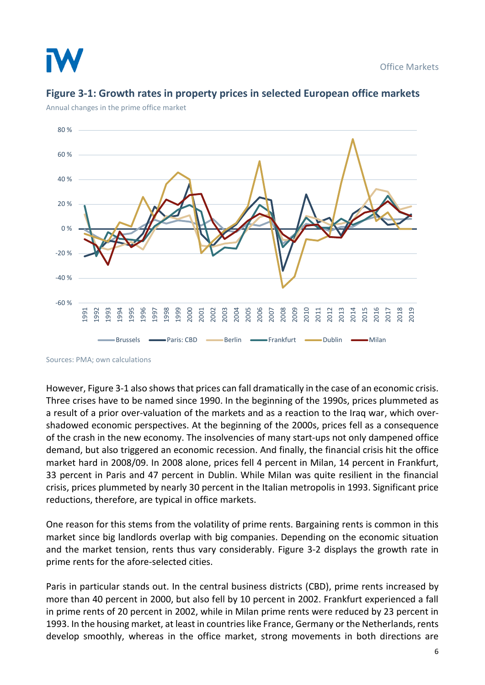

Office Markets



### <span id="page-6-0"></span>**Figure 3-1: Growth rates in property prices in selected European office markets**

Annual changes in the prime office market

Sources: PMA; own calculations

However, [Figure 3-1](#page-6-0) also shows that prices can fall dramatically in the case of an economic crisis. Three crises have to be named since 1990. In the beginning of the 1990s, prices plummeted as a result of a prior over-valuation of the markets and as a reaction to the Iraq war, which overshadowed economic perspectives. At the beginning of the 2000s, prices fell as a consequence of the crash in the new economy. The insolvencies of many start-ups not only dampened office demand, but also triggered an economic recession. And finally, the financial crisis hit the office market hard in 2008/09. In 2008 alone, prices fell 4 percent in Milan, 14 percent in Frankfurt, 33 percent in Paris and 47 percent in Dublin. While Milan was quite resilient in the financial crisis, prices plummeted by nearly 30 percent in the Italian metropolis in 1993. Significant price reductions, therefore, are typical in office markets.

One reason for this stems from the volatility of prime rents. Bargaining rents is common in this market since big landlords overlap with big companies. Depending on the economic situation and the market tension, rents thus vary considerably. [Figure 3-2](#page-7-0) displays the growth rate in prime rents for the afore-selected cities.

Paris in particular stands out. In the central business districts (CBD), prime rents increased by more than 40 percent in 2000, but also fell by 10 percent in 2002. Frankfurt experienced a fall in prime rents of 20 percent in 2002, while in Milan prime rents were reduced by 23 percent in 1993. In the housing market, at least in countries like France, Germany or the Netherlands, rents develop smoothly, whereas in the office market, strong movements in both directions are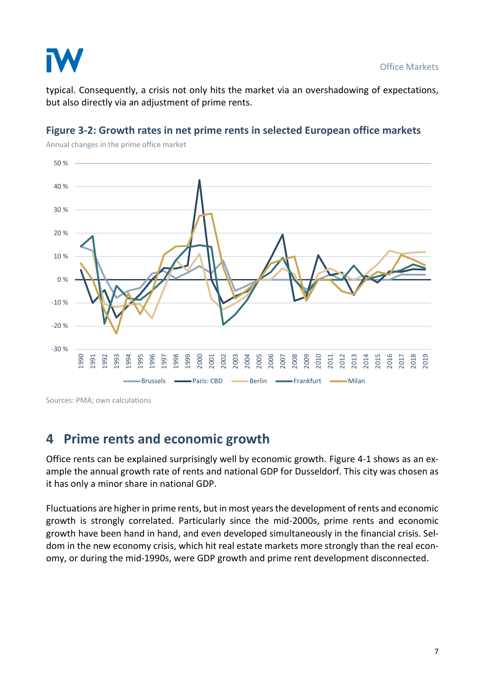

typical. Consequently, a crisis not only hits the market via an overshadowing of expectations, but also directly via an adjustment of prime rents.



#### <span id="page-7-0"></span>**Figure 3-2: Growth rates in net prime rents in selected European office markets**

Sources: PMA; own calculations

## **4 Prime rents and economic growth**

Office rents can be explained surprisingly well by economic growth. [Figure 4-1](#page-8-0) shows as an example the annual growth rate of rents and national GDP for Dusseldorf. This city was chosen as it has only a minor share in national GDP.

Fluctuations are higher in prime rents, but in most years the development of rents and economic growth is strongly correlated. Particularly since the mid-2000s, prime rents and economic growth have been hand in hand, and even developed simultaneously in the financial crisis. Seldom in the new economy crisis, which hit real estate markets more strongly than the real economy, or during the mid-1990s, were GDP growth and prime rent development disconnected.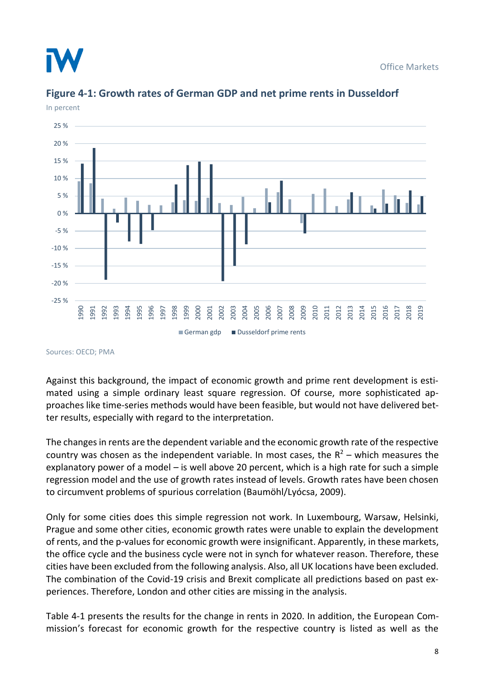



#### <span id="page-8-0"></span>**Figure 4-1: Growth rates of German GDP and net prime rents in Dusseldorf**

Sources: OECD; PMA

Against this background, the impact of economic growth and prime rent development is estimated using a simple ordinary least square regression. Of course, more sophisticated approaches like time-series methods would have been feasible, but would not have delivered better results, especially with regard to the interpretation.

The changes in rents are the dependent variable and the economic growth rate of the respective country was chosen as the independent variable. In most cases, the  $R^2$  – which measures the explanatory power of a model – is well above 20 percent, which is a high rate for such a simple regression model and the use of growth rates instead of levels. Growth rates have been chosen to circumvent problems of spurious correlation (Baumöhl/Lyócsa, 2009).

Only for some cities does this simple regression not work. In Luxembourg, Warsaw, Helsinki, Prague and some other cities, economic growth rates were unable to explain the development of rents, and the p-values for economic growth were insignificant. Apparently, in these markets, the office cycle and the business cycle were not in synch for whatever reason. Therefore, these cities have been excluded from the following analysis. Also, all UK locations have been excluded. The combination of the Covid-19 crisis and Brexit complicate all predictions based on past experiences. Therefore, London and other cities are missing in the analysis.

[Table 4-1](#page-9-0) presents the results for the change in rents in 2020. In addition, the European Commission's forecast for economic growth for the respective country is listed as well as the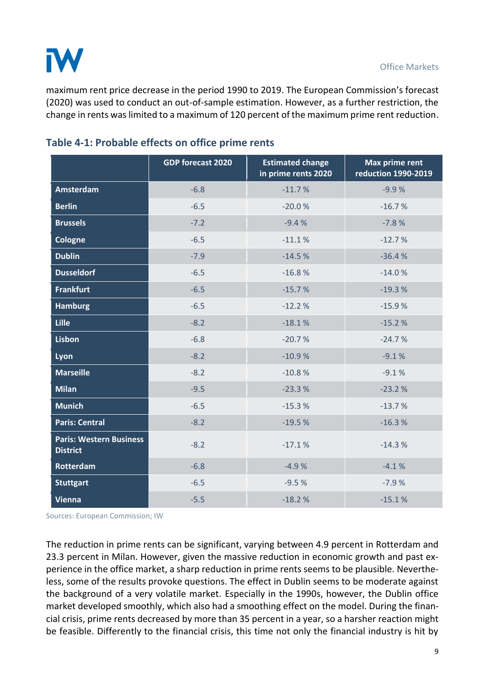

maximum rent price decrease in the period 1990 to 2019. The European Commission's forecast (2020) was used to conduct an out-of-sample estimation. However, as a further restriction, the change in rents was limited to a maximum of 120 percent of the maximum prime rent reduction.

|                                                   | <b>GDP forecast 2020</b> | <b>Estimated change</b><br>in prime rents 2020 | <b>Max prime rent</b><br>reduction 1990-2019 |
|---------------------------------------------------|--------------------------|------------------------------------------------|----------------------------------------------|
| Amsterdam                                         | $-6.8$                   | $-11.7%$                                       | $-9.9%$                                      |
| <b>Berlin</b>                                     | $-6.5$                   | $-20.0%$                                       | $-16.7%$                                     |
| <b>Brussels</b>                                   | $-7.2$                   | $-9.4%$                                        | $-7.8%$                                      |
| Cologne                                           | $-6.5$                   | $-11.1%$                                       | $-12.7%$                                     |
| <b>Dublin</b>                                     | $-7.9$                   | $-14.5%$                                       | $-36.4%$                                     |
| <b>Dusseldorf</b>                                 | $-6.5$                   | $-16.8%$                                       | $-14.0%$                                     |
| <b>Frankfurt</b>                                  | $-6.5$                   | $-15.7%$                                       | $-19.3%$                                     |
| <b>Hamburg</b>                                    | $-6.5$                   | $-12.2%$                                       | $-15.9%$                                     |
| Lille                                             | $-8.2$                   | $-18.1%$                                       | $-15.2%$                                     |
| <b>Lisbon</b>                                     | $-6.8$                   | $-20.7%$                                       | $-24.7%$                                     |
| Lyon                                              | $-8.2$                   | $-10.9%$                                       | $-9.1%$                                      |
| <b>Marseille</b>                                  | $-8.2$                   | $-10.8%$                                       | $-9.1%$                                      |
| <b>Milan</b>                                      | $-9.5$                   | $-23.3%$                                       | $-23.2%$                                     |
| <b>Munich</b>                                     | $-6.5$                   | $-15.3%$                                       | $-13.7%$                                     |
| <b>Paris: Central</b>                             | $-8.2$                   | $-19.5%$                                       | $-16.3%$                                     |
| <b>Paris: Western Business</b><br><b>District</b> | $-8.2$                   | $-17.1%$                                       | $-14.3%$                                     |
| <b>Rotterdam</b>                                  | $-6.8$                   | $-4.9%$                                        | $-4.1%$                                      |
| <b>Stuttgart</b>                                  | $-6.5$                   | $-9.5%$                                        | $-7.9%$                                      |
| <b>Vienna</b>                                     | $-5.5$                   | $-18.2%$                                       | $-15.1%$                                     |

#### <span id="page-9-0"></span>**Table 4-1: Probable effects on office prime rents**

Sources: European Commission; IW

The reduction in prime rents can be significant, varying between 4.9 percent in Rotterdam and 23.3 percent in Milan. However, given the massive reduction in economic growth and past experience in the office market, a sharp reduction in prime rents seems to be plausible. Nevertheless, some of the results provoke questions. The effect in Dublin seems to be moderate against the background of a very volatile market. Especially in the 1990s, however, the Dublin office market developed smoothly, which also had a smoothing effect on the model. During the financial crisis, prime rents decreased by more than 35 percent in a year, so a harsher reaction might be feasible. Differently to the financial crisis, this time not only the financial industry is hit by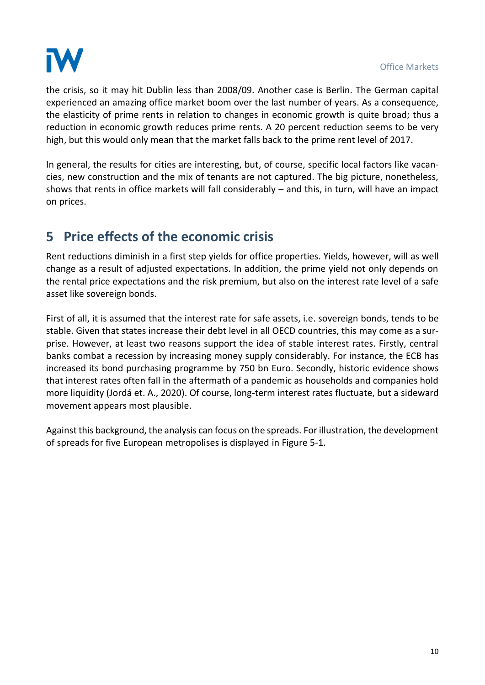

the crisis, so it may hit Dublin less than 2008/09. Another case is Berlin. The German capital experienced an amazing office market boom over the last number of years. As a consequence, the elasticity of prime rents in relation to changes in economic growth is quite broad; thus a reduction in economic growth reduces prime rents. A 20 percent reduction seems to be very high, but this would only mean that the market falls back to the prime rent level of 2017.

In general, the results for cities are interesting, but, of course, specific local factors like vacancies, new construction and the mix of tenants are not captured. The big picture, nonetheless, shows that rents in office markets will fall considerably – and this, in turn, will have an impact on prices.

## **5 Price effects of the economic crisis**

Rent reductions diminish in a first step yields for office properties. Yields, however, will as well change as a result of adjusted expectations. In addition, the prime yield not only depends on the rental price expectations and the risk premium, but also on the interest rate level of a safe asset like sovereign bonds.

First of all, it is assumed that the interest rate for safe assets, i.e. sovereign bonds, tends to be stable. Given that states increase their debt level in all OECD countries, this may come as a surprise. However, at least two reasons support the idea of stable interest rates. Firstly, central banks combat a recession by increasing money supply considerably. For instance, the ECB has increased its bond purchasing programme by 750 bn Euro. Secondly, historic evidence shows that interest rates often fall in the aftermath of a pandemic as households and companies hold more liquidity (Jordá et. A., 2020). Of course, long-term interest rates fluctuate, but a sideward movement appears most plausible.

Against this background, the analysis can focus on the spreads. For illustration, the development of spreads for five European metropolises is displayed in [Figure 5-1.](#page-11-0)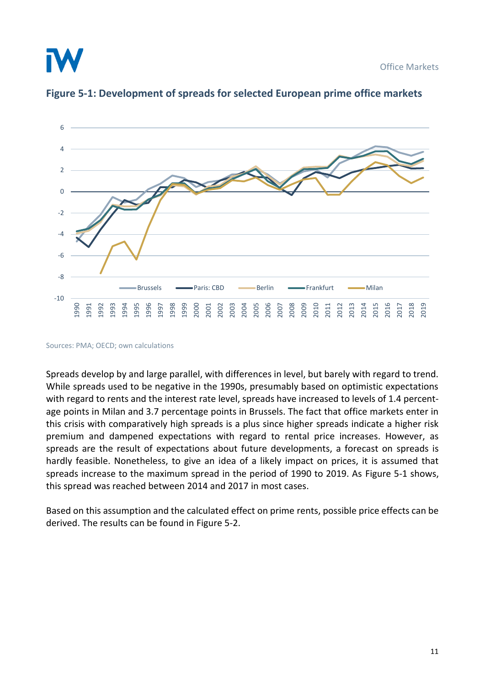Office Markets





<span id="page-11-0"></span>**Figure 5-1: Development of spreads for selected European prime office markets**

Spreads develop by and large parallel, with differences in level, but barely with regard to trend. While spreads used to be negative in the 1990s, presumably based on optimistic expectations with regard to rents and the interest rate level, spreads have increased to levels of 1.4 percentage points in Milan and 3.7 percentage points in Brussels. The fact that office markets enter in this crisis with comparatively high spreads is a plus since higher spreads indicate a higher risk premium and dampened expectations with regard to rental price increases. However, as spreads are the result of expectations about future developments, a forecast on spreads is hardly feasible. Nonetheless, to give an idea of a likely impact on prices, it is assumed that spreads increase to the maximum spread in the period of 1990 to 2019. As [Figure 5-1](#page-11-0) shows, this spread was reached between 2014 and 2017 in most cases.

Based on this assumption and the calculated effect on prime rents, possible price effects can be derived. The results can be found in [Figure 5-2.](#page-12-0)

Sources: PMA; OECD; own calculations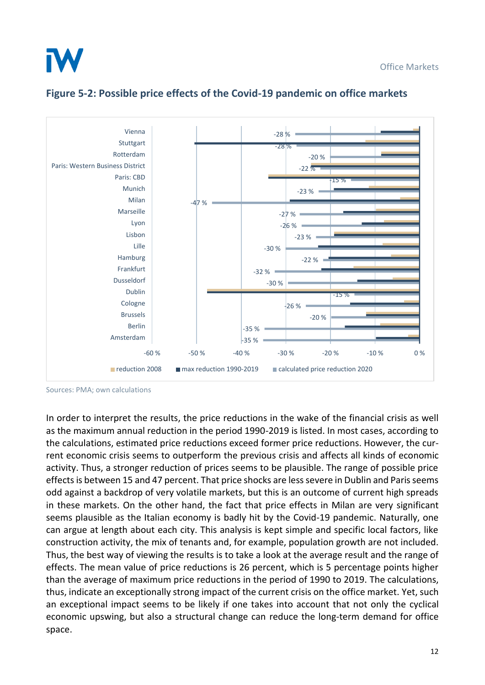



#### <span id="page-12-0"></span>**Figure 5-2: Possible price effects of the Covid-19 pandemic on office markets**

Sources: PMA; own calculations

In order to interpret the results, the price reductions in the wake of the financial crisis as well as the maximum annual reduction in the period 1990-2019 is listed. In most cases, according to the calculations, estimated price reductions exceed former price reductions. However, the current economic crisis seems to outperform the previous crisis and affects all kinds of economic activity. Thus, a stronger reduction of prices seems to be plausible. The range of possible price effects is between 15 and 47 percent. That price shocks are less severe in Dublin and Paris seems odd against a backdrop of very volatile markets, but this is an outcome of current high spreads in these markets. On the other hand, the fact that price effects in Milan are very significant seems plausible as the Italian economy is badly hit by the Covid-19 pandemic. Naturally, one can argue at length about each city. This analysis is kept simple and specific local factors, like construction activity, the mix of tenants and, for example, population growth are not included. Thus, the best way of viewing the results is to take a look at the average result and the range of effects. The mean value of price reductions is 26 percent, which is 5 percentage points higher than the average of maximum price reductions in the period of 1990 to 2019. The calculations, thus, indicate an exceptionally strong impact of the current crisis on the office market. Yet, such an exceptional impact seems to be likely if one takes into account that not only the cyclical economic upswing, but also a structural change can reduce the long-term demand for office space.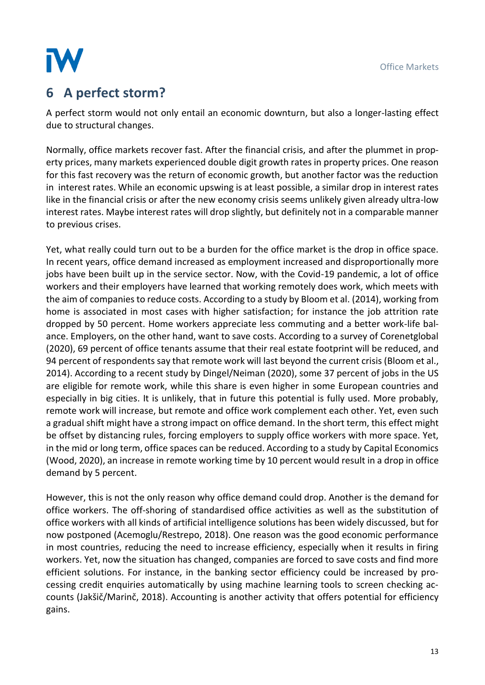

## **6 A perfect storm?**

A perfect storm would not only entail an economic downturn, but also a longer-lasting effect due to structural changes.

Normally, office markets recover fast. After the financial crisis, and after the plummet in property prices, many markets experienced double digit growth rates in property prices. One reason for this fast recovery was the return of economic growth, but another factor was the reduction in interest rates. While an economic upswing is at least possible, a similar drop in interest rates like in the financial crisis or after the new economy crisis seems unlikely given already ultra-low interest rates. Maybe interest rates will drop slightly, but definitely not in a comparable manner to previous crises.

Yet, what really could turn out to be a burden for the office market is the drop in office space. In recent years, office demand increased as employment increased and disproportionally more jobs have been built up in the service sector. Now, with the Covid-19 pandemic, a lot of office workers and their employers have learned that working remotely does work, which meets with the aim of companies to reduce costs. According to a study by Bloom et al. (2014), working from home is associated in most cases with higher satisfaction; for instance the job attrition rate dropped by 50 percent. Home workers appreciate less commuting and a better work-life balance. Employers, on the other hand, want to save costs. According to a survey of Corenetglobal (2020), 69 percent of office tenants assume that their real estate footprint will be reduced, and 94 percent of respondents say that remote work will last beyond the current crisis (Bloom et al., 2014). According to a recent study by Dingel/Neiman (2020), some 37 percent of jobs in the US are eligible for remote work, while this share is even higher in some European countries and especially in big cities. It is unlikely, that in future this potential is fully used. More probably, remote work will increase, but remote and office work complement each other. Yet, even such a gradual shift might have a strong impact on office demand. In the short term, this effect might be offset by distancing rules, forcing employers to supply office workers with more space. Yet, in the mid or long term, office spaces can be reduced. According to a study by Capital Economics (Wood, 2020), an increase in remote working time by 10 percent would result in a drop in office demand by 5 percent.

However, this is not the only reason why office demand could drop. Another is the demand for office workers. The off-shoring of standardised office activities as well as the substitution of office workers with all kinds of artificial intelligence solutions has been widely discussed, but for now postponed (Acemoglu/Restrepo, 2018). One reason was the good economic performance in most countries, reducing the need to increase efficiency, especially when it results in firing workers. Yet, now the situation has changed, companies are forced to save costs and find more efficient solutions. For instance, in the banking sector efficiency could be increased by processing credit enquiries automatically by using machine learning tools to screen checking accounts (Jakšič/Marinč, 2018). Accounting is another activity that offers potential for efficiency gains.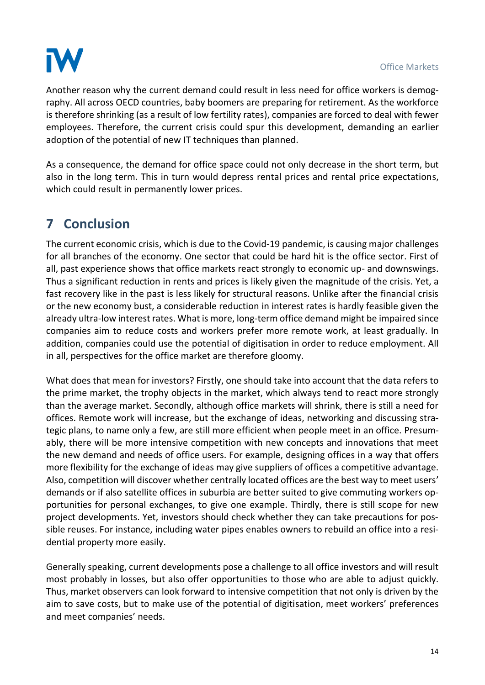

Another reason why the current demand could result in less need for office workers is demography. All across OECD countries, baby boomers are preparing for retirement. As the workforce is therefore shrinking (as a result of low fertility rates), companies are forced to deal with fewer employees. Therefore, the current crisis could spur this development, demanding an earlier adoption of the potential of new IT techniques than planned.

As a consequence, the demand for office space could not only decrease in the short term, but also in the long term. This in turn would depress rental prices and rental price expectations, which could result in permanently lower prices.

## **7 Conclusion**

The current economic crisis, which is due to the Covid-19 pandemic, is causing major challenges for all branches of the economy. One sector that could be hard hit is the office sector. First of all, past experience shows that office markets react strongly to economic up- and downswings. Thus a significant reduction in rents and prices is likely given the magnitude of the crisis. Yet, a fast recovery like in the past is less likely for structural reasons. Unlike after the financial crisis or the new economy bust, a considerable reduction in interest rates is hardly feasible given the already ultra-low interest rates. What is more, long-term office demand might be impaired since companies aim to reduce costs and workers prefer more remote work, at least gradually. In addition, companies could use the potential of digitisation in order to reduce employment. All in all, perspectives for the office market are therefore gloomy.

What does that mean for investors? Firstly, one should take into account that the data refers to the prime market, the trophy objects in the market, which always tend to react more strongly than the average market. Secondly, although office markets will shrink, there is still a need for offices. Remote work will increase, but the exchange of ideas, networking and discussing strategic plans, to name only a few, are still more efficient when people meet in an office. Presumably, there will be more intensive competition with new concepts and innovations that meet the new demand and needs of office users. For example, designing offices in a way that offers more flexibility for the exchange of ideas may give suppliers of offices a competitive advantage. Also, competition will discover whether centrally located offices are the best way to meet users' demands or if also satellite offices in suburbia are better suited to give commuting workers opportunities for personal exchanges, to give one example. Thirdly, there is still scope for new project developments. Yet, investors should check whether they can take precautions for possible reuses. For instance, including water pipes enables owners to rebuild an office into a residential property more easily.

Generally speaking, current developments pose a challenge to all office investors and will result most probably in losses, but also offer opportunities to those who are able to adjust quickly. Thus, market observers can look forward to intensive competition that not only is driven by the aim to save costs, but to make use of the potential of digitisation, meet workers' preferences and meet companies' needs.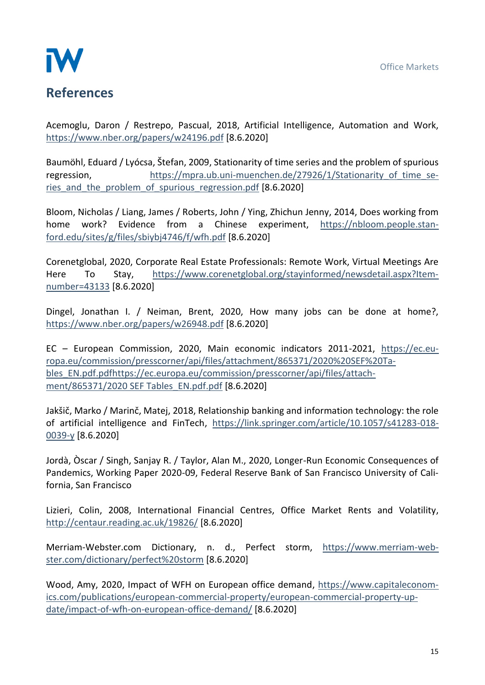

Acemoglu, Daron / Restrepo, Pascual, 2018, Artificial Intelligence, Automation and Work, <https://www.nber.org/papers/w24196.pdf> [8.6.2020]

Baumöhl, Eduard / Lyócsa, Štefan, 2009, Stationarity of time series and the problem of spurious regression, https://mpra.ub.uni-muenchen.de/27926/1/Stationarity of time series and the problem of spurious regression.pdf [8.6.2020]

Bloom, Nicholas / Liang, James / Roberts, John / Ying, Zhichun Jenny, 2014, Does working from home work? Evidence from a Chinese experiment, [https://nbloom.people.stan](https://nbloom.people.stanford.edu/sites/g/files/sbiybj4746/f/wfh.pdf)[ford.edu/sites/g/files/sbiybj4746/f/wfh.pdf](https://nbloom.people.stanford.edu/sites/g/files/sbiybj4746/f/wfh.pdf) [8.6.2020]

Corenetglobal, 2020, Corporate Real Estate Professionals: Remote Work, Virtual Meetings Are Here To Stay, [https://www.corenetglobal.org/stayinformed/newsdetail.aspx?Item](https://www.corenetglobal.org/stayinformed/newsdetail.aspx?Itemnumber=43133)[number=43133](https://www.corenetglobal.org/stayinformed/newsdetail.aspx?Itemnumber=43133) [8.6.2020]

Dingel, Jonathan I. / Neiman, Brent, 2020, How many jobs can be done at home?, <https://www.nber.org/papers/w26948.pdf> [8.6.2020]

EC – European Commission, 2020, Main economic indicators 2011-2021, [https://ec.eu](https://ec.europa.eu/commission/presscorner/api/files/attachment/865371/2020%20SEF%20Tables_EN.pdf.pdf)[ropa.eu/commission/presscorner/api/files/attachment/865371/2020%20SEF%20Ta](https://ec.europa.eu/commission/presscorner/api/files/attachment/865371/2020%20SEF%20Tables_EN.pdf.pdf)[bles\\_EN.pdf.pdfhttps://ec.europa.eu/commission/presscorner/api/files/attach](https://ec.europa.eu/commission/presscorner/api/files/attachment/865371/2020%20SEF%20Tables_EN.pdf.pdf)[ment/865371/2020 SEF Tables\\_EN.pdf.pdf](https://ec.europa.eu/commission/presscorner/api/files/attachment/865371/2020%20SEF%20Tables_EN.pdf.pdf) [8.6.2020]

Jakšič, Marko / Marinč, Matej, 2018, Relationship banking and information technology: the role of artificial intelligence and FinTech, [https://link.springer.com/article/10.1057/s41283-018-](https://link.springer.com/article/10.1057/s41283-018-0039-y) [0039-y](https://link.springer.com/article/10.1057/s41283-018-0039-y) [8.6.2020]

Jordà, Òscar / Singh, Sanjay R. / Taylor, Alan M., 2020, Longer-Run Economic Consequences of Pandemics, Working Paper 2020-09, Federal Reserve Bank of San Francisco University of California, San Francisco

Lizieri, Colin, 2008, International Financial Centres, Office Market Rents and Volatility, <http://centaur.reading.ac.uk/19826/> [8.6.2020]

Merriam-Webster.com Dictionary, n. d., Perfect storm, [https://www.merriam-web](https://www.merriam-webster.com/dictionary/perfect%20storm)[ster.com/dictionary/perfect%20storm](https://www.merriam-webster.com/dictionary/perfect%20storm) [8.6.2020]

Wood, Amy, 2020, Impact of WFH on European office demand, [https://www.capitaleconom](https://www.capitaleconomics.com/publications/european-commercial-property/european-commercial-property-update/impact-of-wfh-on-european-office-demand/)[ics.com/publications/european-commercial-property/european-commercial-property-up](https://www.capitaleconomics.com/publications/european-commercial-property/european-commercial-property-update/impact-of-wfh-on-european-office-demand/)[date/impact-of-wfh-on-european-office-demand/](https://www.capitaleconomics.com/publications/european-commercial-property/european-commercial-property-update/impact-of-wfh-on-european-office-demand/) [8.6.2020]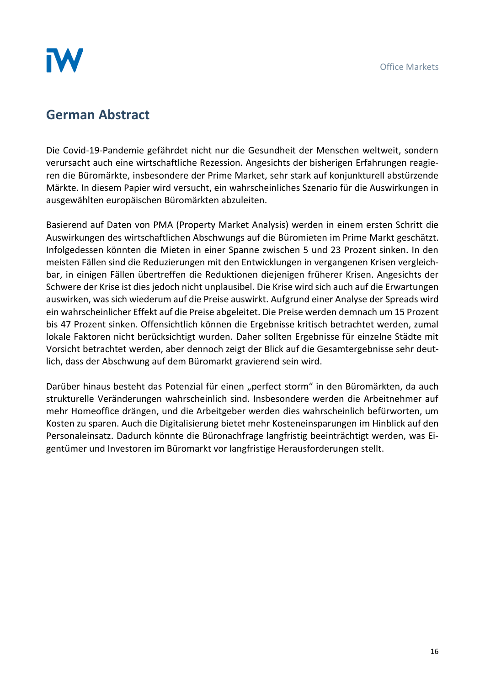

## **German Abstract**

Die Covid-19-Pandemie gefährdet nicht nur die Gesundheit der Menschen weltweit, sondern verursacht auch eine wirtschaftliche Rezession. Angesichts der bisherigen Erfahrungen reagieren die Büromärkte, insbesondere der Prime Market, sehr stark auf konjunkturell abstürzende Märkte. In diesem Papier wird versucht, ein wahrscheinliches Szenario für die Auswirkungen in ausgewählten europäischen Büromärkten abzuleiten.

Basierend auf Daten von PMA (Property Market Analysis) werden in einem ersten Schritt die Auswirkungen des wirtschaftlichen Abschwungs auf die Büromieten im Prime Markt geschätzt. Infolgedessen könnten die Mieten in einer Spanne zwischen 5 und 23 Prozent sinken. In den meisten Fällen sind die Reduzierungen mit den Entwicklungen in vergangenen Krisen vergleichbar, in einigen Fällen übertreffen die Reduktionen diejenigen früherer Krisen. Angesichts der Schwere der Krise ist dies jedoch nicht unplausibel. Die Krise wird sich auch auf die Erwartungen auswirken, was sich wiederum auf die Preise auswirkt. Aufgrund einer Analyse der Spreads wird ein wahrscheinlicher Effekt auf die Preise abgeleitet. Die Preise werden demnach um 15 Prozent bis 47 Prozent sinken. Offensichtlich können die Ergebnisse kritisch betrachtet werden, zumal lokale Faktoren nicht berücksichtigt wurden. Daher sollten Ergebnisse für einzelne Städte mit Vorsicht betrachtet werden, aber dennoch zeigt der Blick auf die Gesamtergebnisse sehr deutlich, dass der Abschwung auf dem Büromarkt gravierend sein wird.

Darüber hinaus besteht das Potenzial für einen "perfect storm" in den Büromärkten, da auch strukturelle Veränderungen wahrscheinlich sind. Insbesondere werden die Arbeitnehmer auf mehr Homeoffice drängen, und die Arbeitgeber werden dies wahrscheinlich befürworten, um Kosten zu sparen. Auch die Digitalisierung bietet mehr Kosteneinsparungen im Hinblick auf den Personaleinsatz. Dadurch könnte die Büronachfrage langfristig beeinträchtigt werden, was Eigentümer und Investoren im Büromarkt vor langfristige Herausforderungen stellt.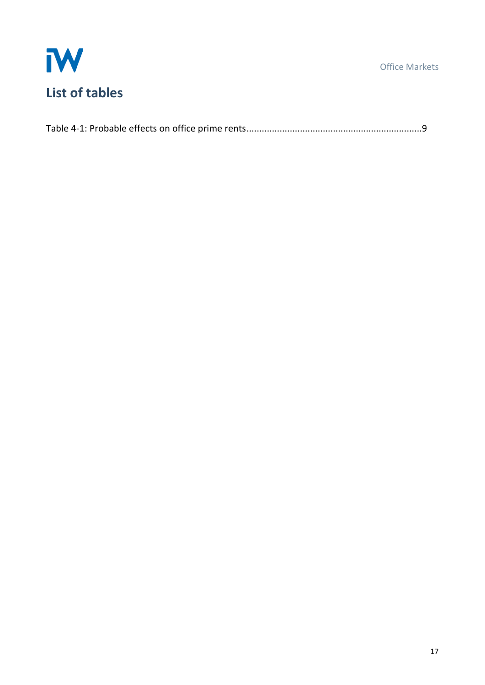



|--|--|--|